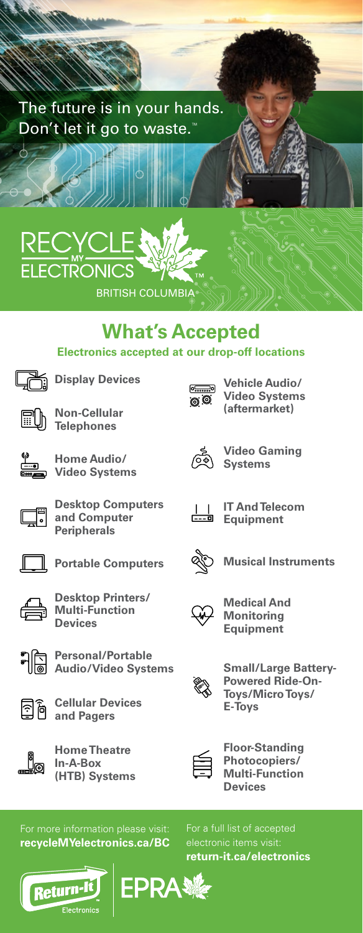

## **What's Accepted Electronics accepted at our drop-off locations**



**Display Devices** 

**Desktop Computers and Computer Peripherals**

**Portable Computers**

**Desktop Printers/ Multi-Function Devices**



国商

**Non-Cellular Telephones**

**Home Audio/ Video Systems**



**Vehicle Audio/ Video Systems (aftermarket)**



**Video Gaming Systems**



**IT And Telecom Equipment** 



**Musical Instruments**



**Medical And Monitoring Equipment**



**Small/Large Battery-Powered Ride-On-Toys/Micro Toys/ E-Toys**



**Floor-Standing Photocopiers/ Multi-Function Devices**

**recycleMYelectronics.ca/BC**

**Home Theatre In-A-Box (HTB) Systems**

**Cellular Devices and Pagers**

**Personal/Portable Audio/Video Systems**

Return-lt